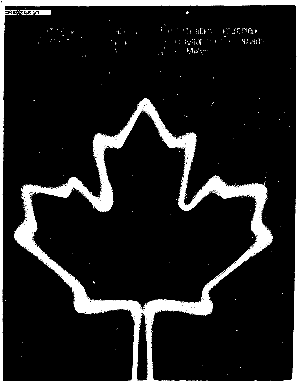Fire and cappy industrient  $\mathbf{A}^{\left(1\right)}$ **BEASIOL DOCTOR ANALL**  $\mathbf{P}$  $\mathbf{1}$ j,  $\bar{f}_{\rm tr}$  $\overline{1}$ 

۰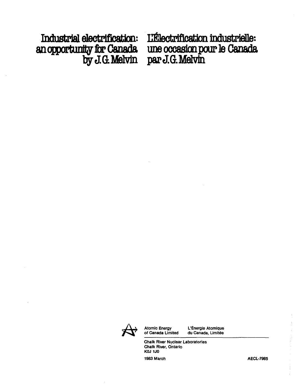$\frac{1}{2}$  produced a produced by **p**  $\frac{1}{2}$  produced by **p**  $\frac{1}{2}$  produced by  $\frac{1}{2}$  produced by  $\frac{1}{2}$  produced by  $\frac{1}{2}$  produced by  $\frac{1}{2}$  produced by  $\frac{1}{2}$  produced by  $\frac{1}{2}$  produced by  $\frac{1$ 

Industrial electrification: Li<sup>e</sup>lectrification industrielle:<br>an opportunity for Canada une occasion pour le Canada<br>by J.G. Melvin par J.G. Melvin une occasion pour le Canada **J.G. Mel byJ.G.Melvin papJ.G.Metvin**



**Atomic Energy L'Energie Atomique of Canada Limited du Canada, Limitee**

**Chalk River Nuclear Laboratories Chalk River, Ontario KOJ 1J0**

1983 March **AECL-7985**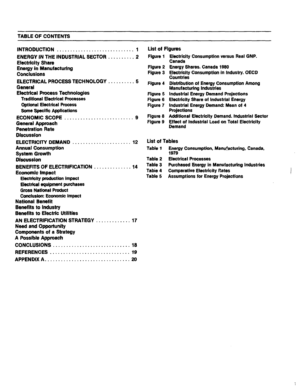# **TABLE OF CONTENTS**

|                                                                                                                | List of Figures       |                                                                            |
|----------------------------------------------------------------------------------------------------------------|-----------------------|----------------------------------------------------------------------------|
| <b>ENERGY IN THE INDUSTRIAL SECTOR  2</b><br><b>Electricity Share</b>                                          | Figure 1              | <b>Electricity Consumption versus Real GNP.</b><br>Canada                  |
| <b>Energy in Manufacturing</b>                                                                                 |                       | Figure 2 Energy Shares. Canada 1980                                        |
| <b>Conclusions</b>                                                                                             | Fiaure 3              | <b>Electricity Consumption in Industry, OECD</b><br><b>Countries</b>       |
| ELECTRICAL PROCESS TECHNOLOGY  5<br><b>General</b>                                                             | <b>Figure 4</b>       | Distribution of Energy Consumption Amon<br><b>Manufacturing Industries</b> |
| <b>Electrical Process Technologies</b>                                                                         | Figure 5              | <b>Industrial Energy Demand Projections</b>                                |
| <b>Traditional Electrical Processes</b>                                                                        | Figure 6              | <b>Electricity Share of Industrial Energy</b>                              |
| <b>Optional Electrical Process</b><br><b>Some Specific Applications</b>                                        | Figure 7              | Industrial Energy Demand: Mean of 4<br><b>Projections</b>                  |
| ECONOMIC SCOPE $\ldots \ldots \ldots \ldots \ldots \ldots \ldots$                                              | Figure 8              | <b>Additional Electricity Demand. Industrial S</b>                         |
| <b>General Approach</b><br><b>Penetration Rate</b><br><b>Discussion</b>                                        | Fiaure 9              | <b>Effect of Industrial Load on Total Electrici</b><br>Demand              |
|                                                                                                                | <b>List of Tables</b> |                                                                            |
| ELECTRICITY DEMAND  12                                                                                         |                       |                                                                            |
| <b>Annual Consumption</b><br><b>System Growth</b>                                                              | Table 1               | <b>Energy Consumption, Manufacturing, Cana</b><br>1979                     |
| <b>Discussion</b>                                                                                              | Table 2               | <b>Electrical Processes</b>                                                |
| <b>BENEFITS OF ELECTRIFICATION  14</b>                                                                         | Table 3               | <b>Purchased Energy in Manufacturing Indust</b>                            |
| <b>Economic Impact</b>                                                                                         | Tabie 4               | <b>Comparative Electricity Rates</b>                                       |
| <b>Electricity production impact</b><br><b>Electrical equipment purchases</b><br><b>Gross National Product</b> | Table 5               | <b>Assumptions for Energy Projections</b>                                  |
| <b>Conclusion: Economic Impact</b>                                                                             |                       |                                                                            |
| <b>National Benefit</b>                                                                                        |                       |                                                                            |
| <b>Benefits to Industry</b>                                                                                    |                       |                                                                            |
| <b>Benefits to Electric Utilities</b>                                                                          |                       |                                                                            |
| AN ELECTRIFICATION STRATEGY  17                                                                                |                       |                                                                            |
| <b>Need and Opportunity</b>                                                                                    |                       |                                                                            |
| <b>Components of a Strategy</b>                                                                                |                       |                                                                            |
| A Possible Approach                                                                                            |                       |                                                                            |
| CONCLUSIONS  18                                                                                                |                       |                                                                            |
| REFERENCES  19                                                                                                 |                       |                                                                            |
|                                                                                                                |                       |                                                                            |

# **List of Figures**

| Figure 1 | <b>Electricity Consumption versus Real GNP.</b><br>Canada |
|----------|-----------------------------------------------------------|
|          | Figure 2 Energy Shares. Canada 1980                       |
|          | Elaura 9 - Elaabialbu Canaumatian in Industry AECD        |

- **Conclusions Figure 3 Electricity Consumption in Industry. OECD Countries**
- **ELECTRICAL PROCESS TECHNOLOGY 5 RflUr e 4 DteWbu , | <sup>o</sup> n o f Energy Consumption Among Manufacturing Industries**
- **Figure 5 Industrial Energy Demand Projections**
- **Figure 6 Electricity Share of Industrial Energy**
- **Figure 7 Industrial Energy Demand: Mean of 4 Frojections**<br>**Figure 8** Additional **B**
- **Figure 8 Additional Electricity Demand. Industrial Sector Figure 9 Effect of Industrial Load on Total Electricity** 
	- **Effect of Industrial Load on Total Electricity**<br>Demand

## **List of Tables**

- Table 1 Energy Consumption, Manufacturing, Canada, 1979
- **Table 2 Electrical Processes<br>Table 3 Purchased Energy in**
- **Tabl e 3 Purchased Energy in Manufacturing Industries**
- **Tabie 4 Comparative Electricity Rates**<br>**Table 5 Assumptions for Energy Proje**
- **Assumptions for Energy Projections**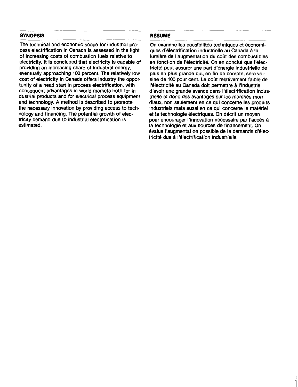# **SYNOPSIS**

The technical and economic scope for industrial process electrification in Canada is assessed in the light of increasing costs of combustion fuels relative to electricity. It is concluded that electricity is capable of providing an increasing share of industrial energy, eventually approaching 100 percent. The relatively low cost of electricity in Canada offers industry the opportunity of a head start in process electrification, with consequent advantages in world markets both for industrial products and for electrical process equipment and technology. A method is described to promote the necessary innovation by providing access to technology and financing. The potential growth of electricity demand due to industrial electrification is estimated.

# RESUME

On examine les possibilités techniques et économiques d'electrification industrielle au Canada a la lumière de l'augmentation du coût des combustibles en fonction de l'électricité. On en conclut que l'électricite peut assurer une part d'energie industrielle de plus en plus grande qui, en fin de compte, sera voisine de 100 pour cent. Le coût relativement faible de l'électricité au Canada doit permettre à l'industrie d'avoir une grande avance dans l'électrification industrielle et donc des avantages sur les marchés mondiaux, non seulement en ce qui concerne les produits industriels mais aussi en ce qui concerne le matériel et la technologie électriques. On décrit un moyen pour encourager l'innovation nécessaire par l'accès à la technologie et aux sources de financement. On evalue I'augmentation possible de la demande d'electricité due à l'électrification industrielle.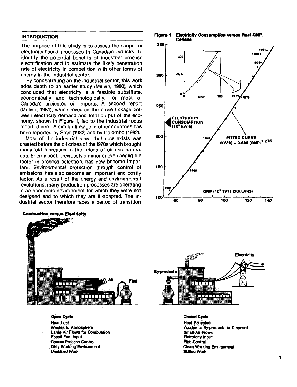## **INTRODUCTION**

The purpose of this study is to assess the scope for electricity-based processes in Canadian industry, to identify the potential benefits of industrial process electrification and to estimate the likely penetration rate of electricity in competition with other forms of energy in the industrial sector.

By concentrating on the industrial sector, this work adds depth to an earlier study (Melvin, 1980), which concluded that electricity is a feasible substitute, economically and technologically, for most of Canada's projected oil imports. A second report (Melvin, 1981), which revealed the close linkage between electricity demand and total output of the economy, shown in Figure 1, led to the industrial focus reported here. A similar linkage in other countries has been reported by Starr (1982) and by Colombo (1982).

Most of the industrial plant that now exists was created before the oil crises of the 1970s which brought many-fold increases in the prices of oil and natural gas. Energy cost, previously a minor or even negligible factor in process selection, has now become important. Environmental protection through control of emissions has also become an important and costly factor. As a result of the energy and environmental revolutions, many production processes are operating in an economic environment for which they were not designed and to which they are ill-adapted. The industrial sector therefore faces a period of transition



#### **Open Cycle** Heat Lost Wastes to Atmosphere Large Air Flows for Combustion Fossil Fuel Input Coarse Process Control Dirty Working Environment Unskilled Work







**Closed Cycle** Heat Recycled Wastes to By-products or Disposal Small Air Flows Electricity Input Fine Control Clean Working Environment Skilled Work

**Combustion versus Electricity**

1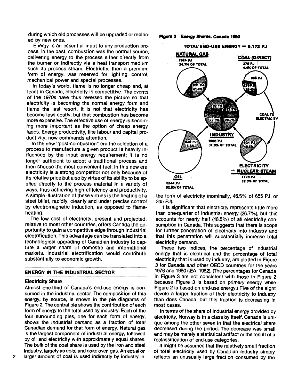during which old processes will be upgraded or replaced by new ones.

Energy is an essential input to any production process. In the past, combustion was the normal source, delivering energy to the process either directly from the burner or indirectly via a heat transport medium such as process steam. Electricity, then a premium form of energy, was reserved for lighting, control, mechanical power and special processes.

In today's world, flame is no longer cheap and, at least in Canada, electricity is competitive. The events of the 1970s have thus reversed the picture so that electricity is becoming the normal energy form and flame the last resort. It is not that electricity has become less costly, but that combustion has become more expensive. The effective use of energy is becoming more important as the option of cheap energy fades. Energy productivity, like labour and capital productivity, now commands attention.

In the new "post-combustion" era the selection of a process to manufacture a given product is heavily influenced by the input energy requirement; it is no longer sufficient to adopt a traditional process and then choose the most convenient fuel. In this new era electricity is a strong competitor not only because of its relative price but also by virtue of its ability to be applied directly to the process material in a variety of ways, thus achieving high efficiency and productivity. A simple illustration of these virtues is the heating of a steel billet, rapidly, cleanly and under precise control by electromagnetic induction, as opposed to flameheating.

The low cost of electricity, present and projected, relative to most other countries, offers Canada the opportunity to gain a competitive edge through industrial electrification. This advantage can be translated into a technological upgrading of Canadian industry to capture a jarger share of domestic and international markets. Industrial electrification would contribute substantially to economic growth.

### **ENERGY IN THE INDUSTRIAL SECTOR**

#### **Electricity Share**

Almost one-third of Canada's end-use energy is consumed in the industrial sector. The composition of this energy, by source, is shown in the pie diagrams of Figure 2. The central pie shows the contribution of each form of energy to the total used by industry. Each of the four surrounding pies, one for each form of energy, shows the industrial demand as a fraction of total Canadian demand for that form of energy. Natural gas is the largest component of industrial energy, followed by oil and electricity with approximately equal shares. The bulk of the coal share is used by the iron and steel industry, largely as coke and coke oven gas. An equal or larger amount of coal is used indirectly by industry in

#### **Figure 2 Energy Shares. Canada 1980**



the form of electricity (nominally, 46.5% of 655 PJ, or 305 PJ).

It is significant that electricity represents little more than one-quarter of industrial energy (26.7%), but this accounts for nearly half (46.5%) of all electricity consumption in Canada. This suggests that there is scope for further penetration of electricity into industry and that this penetration will substantially increase total electricity demand.

These two indices, the percentage of industrial energy that is electrical and the percentage of total electricity that is used by industry, are plotted in Figure 3 for Canada and other OECD countries for the years 1976 and 1980 (IEA, 1982). (The percentages for Canada in Figure 3 are not consistent with those in Figure 2 because Figure 3 is based on primary energy while Figure 2 is based on end-use energy.) Five of the eight devote a larger fraction of their electricity to industry than does Canada, but this fraction is decreasing in most cases.

In terms of the share of industrial energy provided by electricity, Norway is in a class by itself. Canada is unique among the other seven in that the electrical share decreased during the period. The decrease was small and may be merely a statistical artifact or the result of a reclassification of end-use categories.

It might be assumed that the relatively small fraction of total electricity used by Canadian industry simply reflects an unusually large fraction consumed by the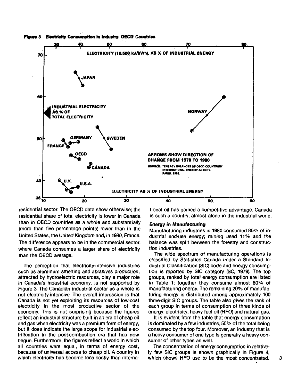



residential sector. The OECD data show otherwise; the residential share of total electricity is lower in Canada than in OECD countries as a whole and substantially (more than five percentage points) lower than in the United States, the United Kingdom and, in 1980, France. The difference appears to be in the commercial sector, where Canada consumes a larger share of electricity than the OECD average.

The perception that electricity-intensive industries such as aluminum smelting and abrasives production, attracted by hydroelectric resources, play a major role in Canada's industrial economy, is not supported by Figure 3. The Canadian industrial sector as a whole is not electricity-intensive. The overall impression is that Canada is not yet exploiting its resources of low-cost electricity in the most productive sector of the economy. This is not surprising because the figures reflect an industrial structure built in an era of cheap oil and gas when electricity was a premium form of energy, but it does indicate the large scope for industrial electrification in the post-combustion era that has now begun. Furthermore, the figures reflect a world in which all countries were equal, in terms of energy cost, because of universal access to cheap oil. A country in which electricity has become less costly than international oil has gained a competitive advantage. Canada is such a country, almost alone in the industrial world.

#### **Energy in Manufacturing**

Manufacturing industries in 1980 consumed 85% of industrial end-use energy; mining used 11% and the balance was split between the forestry and construction industries.

The wide spectrum of manufacturing operations is classified by Statistics Canada under a Standard Industrial Classification (SIC) code and energy consumption is reported by SIC category (SC, 1979). The top groups, ranked by total energy consumption are listed in Table 1; together they consume almost 80% of manufacturing energy. The remaining 20% of manufacturing energy is distributed among approximately 100 three-digit SIC groups. The table also gives the rank of each group in terms of consumption of three kinds of energy: electricity, heavy fuel oil (HFO) and natural gas.

It is evident from the table that energy consumption is dominated by a few industries, 50% of the total being consumed by the top four. Moreover, an industry that is a heavy consumer of one type is generally a heavy consumer of other types as well.

The concentration of energy consumption in relatively few SIC groups is shown graphically in Figure 4, which shows HFO use to be the most concentrated.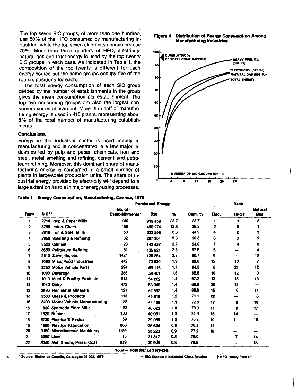The top seven SIC groups, of more than one hundred, use 80% of the HFO consumed by manufacturing industries, while the top seven electricity consumers use 70%. More than three quarters of HFO, electricity, natural gas and total energy is used by the top twenty SIC groups in each case. As indicated in Table 1, the composition of the top twenty is different for each energy source but the same groups occupy five of the top six positions for each.

The total energy consumption of each SIC group divided by the number of establishments in the group gives the mean consumption per establishment. The top five consuming groups are also the largest consumers per establishment. More than half of manufacturing energy is used in 415 plants, representing about 5% of the total number of manufacturing establishments.

#### **Conclusions**

Energy in the industrial sector is used mainly in manufacturing and is concentrated in a few major industries led by pulp and paper, chemicals, iron and steel, metal smelting and refining, cement and petroleum refining. Moreover, this dominant share of manufacturing energy is consumed in a small number of plants in large-scale production units. The share of industrial energy provided by electricity will depend to a large extent on its role in major energy-using processes.

**Figure 4 Distribution of Energy Consumption Among Manufacturing Industries**



| Table 1 Energy Consumption, Manufacturing, Canada, 1979 |  |  |  |  |  |  |  |
|---------------------------------------------------------|--|--|--|--|--|--|--|
|---------------------------------------------------------|--|--|--|--|--|--|--|

|                 |                                  | <b>Purchased Energy</b>   | Rank    |      |               |       |             |                              |
|-----------------|----------------------------------|---------------------------|---------|------|---------------|-------|-------------|------------------------------|
| Rank            | SIC**                            | No. of<br>Establishments* | (k\$)   | %    | <b>Cum. %</b> | Elec. | <b>HFOt</b> | <b>Natural</b><br><b>Gas</b> |
| 1               | 2710 Pulp & Paper Mills          | 146                       | 919 459 | 23.7 | 23.7          | 1     |             | 2                            |
| 2               | 3780 Indus, Chem.                | 156                       | 490 274 | 12.6 | 36.3          | 2     | 5           | 1                            |
| 3               | 2910 Iron & Steel Mills          | 53                        | 332 856 | 8.6  | 44.9          | 4     | 2           | 3                            |
| 4               | 2950 Smelting & Refining         | 32                        | 207 354 | 5.3  | 50.3          | 3     | 3           | 5                            |
| 5               | 3520 Cement                      | 28                        | 143 437 | 3.7  | 54.0          | 7     | 4           | 6                            |
| 6               | 3650 Petroleum Refining          | 61                        | 135821  | 3.5  | 57.5          | 5     |             |                              |
| 7               | 2510 Sawmills, etc.              | 1424                      | 126 254 | 3.3  | 60.7          | 6     | --          | 10                           |
| 8               | 1080 Misc. Food Industries       | 442                       | 73920   | 1,9  | 62.6          | 12    | 10          | 7                            |
| 9               | 3250 Motor Vehicle Parts         | 294                       | 65 118  | 1.7  | 64.3          | 8     | 21          | 12                           |
| 10              | 1090 Beverage                    | 355                       | 58 461  | 1.5  | 65.8          | 19    | 12          | 9                            |
| 11              | 1010 Meat & Poultry Products     | 613                       | 54 202  | 1.4  | 67.2          | 13    | 18          | 13                           |
| 12              | 1040 Dairy                       | 472                       | 53 949  | 1,4  | 68.6          | 20    | 13          |                              |
| 13              | 3590 Non-metal Minerals          | 121                       | 52 532  | 1.4  | 69.9          | 15    | 6           | 11                           |
| 14              | 3560 Glass & Products            | 113                       | 45 618  | 1.2  | 71.1          | 22    | --          | 8                            |
| 15              | 3230 Motor Vehicle Manufacturing | 22                        | 44 166  | 1.1  | 72.3          | 17    | 8           | 19                           |
| 16              | 1830 Synthetic Fibre Mills       | 92                        | 40 623  | 1.0  | 73.3          | 11    | 9           | 17                           |
| 17              | 1620 Rubber                      | 133                       | 40 081  | 1.0  | 74.3          | 16    | 14          | -                            |
| 18              | 3730 Plastics & Resins           | 59                        | 39 065  | 1.0  | 75.3          | 10    | 11          | 15                           |
| 19 <sup>°</sup> | <b>1650 Plastics Fabrication</b> | 866                       | 35 694  | 0.9  | 76.3          | 14    | --          |                              |
| 20              | 3150 Miscellaneous Machinery     | 1189                      | 35 223  | 0.9  | 77.2          | 18    | --          |                              |
| 21              | 3580 Lime                        | 15                        | 31817   | 0.8  | 78.0          |       | 7           | 14                           |
| 22              | 3040 Met. Stamp, Press, Coat     | 919                       | 30 808  | 0.8  | 78.8          |       |             | 18                           |

(Of **3\*79** KM)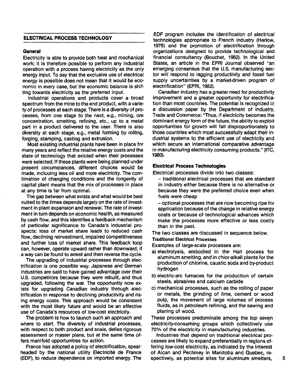## **ELECTRICAL PROCESS TECHNOLOGY**

#### **General**

Electricity is able to provide both heat and mechanical work; it is therefore possible to perform any industrial operation with a process having electricity as the only energy input. To say that the exclusive use of electrical energy is possible does not mean that it would be economic in every case, but the economic balance is shifting towards electricity as the preferred input.

Industrial operations and products cover a broad spectrum from the mine to the end product, with a variety of processes at each stage. There is a diversity of processes, from one stage to the next, e.g., mining, ore concentration, smelting, refining, etc., up to a metal part in a product delivered to the user. There is also diversity at each stage, e.g., metal forming by rolling, forging, stamping, casting and extrusion.

Most existing industrial plants have been in place for many years and reflect the relative energy costs and the state of technology that existed when their processes were selected. If these plants were being planned under present circumstances, different choices would be made, incluuing less oil and more electricity. The combination of changing conditions and the longevity of capital plant means that the mix of processes in place at any time is far from optimal.

The gap between what exists and what would be best suited to the times depends largely on the rate of investment in plant expansion and renewal. The rate of investment in turn depends on economic health, as measured by cash flow, and this identifies a feedback mechanism of particular significance to Canada's industrial prospects: loss of market share leads to reduced cash flow, declining reinvestment, impaired competitiveness and further loss of market share. This feedback loop can, however, operate upward rather than downward, if a way can be found to arrest and then reverse the cycle.

The upgrading of industrial processes through electrification is one possible way. Japanese and German industries are said to have gained advantage over their U.S. competitors because they were rebuilt, and thus upgraded, following the war. The opportunity now exists for upgrading Canadian industry through electrification in response to declining productivity and rising energy costs. This approach would be consistent with the most likely future and would be an effective use of Canada's resources of low-cost electricity.

The problem is how to launch such an approach and where to start. The diversity of industrial processes, with respect to both product and scale, defies rigorous assessment or master plans, but at the same time offers manifold opportunities for action.

France has adopted a policy of electrification, spearheaded by the national utility Electricité de France (EDF), to reduce dependence on imported energy. The

EDF program includes the identification of electrical technologies appropriate to French industry (Harlow, 1976) and the promotion of electrification through organizations designed to provide technological and financial consultancy (Bouchet, 1982). In the United States, an article in the EPRI Journal observed "an emerging consensus that the U.S. manufacturing sector will respond to lagging productivity and fossil fuel supply uncertainties by a market-driven program of electrification" (EPRI, 1982).

Canadian industry has a greater need for productivity improvement and a greater opportunity for electrification than most countries. The potential is recognized in a discussion paper by the Department of Industry, Trade and Commerce: "Thus, if electricity becomes the dominant energy form of the future, the ability to exploit opportunities for growth will fall disproportionately to those countries which most successfully adapt their industrial systems to the efficient use of electricity and which secure an international comparative advantage in manufacturing electricity consuming products." (ITC, 1980).

#### **Electrical Process Technologies**

Electrical processes divide into two classes:

- traditional electrical processes that are standard in industry either because there is no alternative or because they were the preferred choice even when fuels were cheap

- optional processes that are now becoming ripe for application because of the change in relative energy costs or because of technological advances which make the processes more effective or less costly than in the past.

The two classes are discussed in sequence below.

#### Traditional Electrical Processes

Examples of large-scale processes are:

- a) electrolysis, embodied in the Hall process for aluminum smelting, and in chlor-alkali plants for the production of chlorine, caustic soda and by-product hydrogen
- b) electric-arc furnaces for the production of certain steels, abrasives and calcium carbide
- c) mechanical processes, such as the rolling of paper or metals, the grinding of lime, cement or wood pulp, the movement of large volumes of process fluids, as in petroleum refining, and the sawing and planing of wood.

These processes predominate among the top seven electricity-consuming groups which collectively use 70% of the electricity in manufacturing industries.

Industries that depend on traditional electrical processes are likely to expand preferentially in regions offering low-cost electricity, as indicated by the interest of Alcan and Pechiney in Manitoba and Quebec, respectively, as potential sites for aluminum smelters,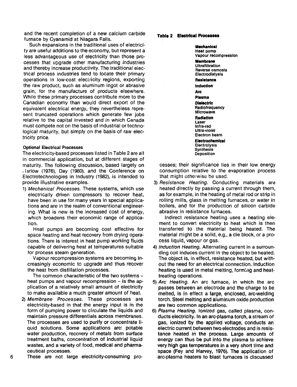and the recent completion of a new calcium carbide furnace by Cyanamid at Niagara Falls.

Such expansions in the traditional uses of electricity are useful additions to the economy, but represent a less advantageous use of electricity than those processes that upgrade other manufacturing industries and thereby increase productivity. The traditional electrical process industries tend to locate their primary operations in low-cost electricity regions, exporting the raw product, such as aluminum ingot or abrasive grain, for the manufacture of products elsewhere. While these primary processes contribute more to the Canadian economy than would direct export of the equivalent electrical energy, they nevertheless represent truncated operations which generate few jobs relative to the capital invested and in which Canada must compete not on the basis of industrial or technological maturity, but simply on the basis of raw electricity price.

### Optional Electrical Processes

The electricity-based processes listed in Table 2 are all in commercial application, but at different stages of maturity. The following discussion, based largely on : larlow (1976), Day (1980), and the Conference on Electrotechnologies in Industry (1982), is intended to provide illustrative examples.

1) Mechanical Processes. These systems, which use electrically driven compressors to recover heat, have been in use for many years in special applications and are in the realm of conventional engineering. What is new is the increased cost of energy, which broadens their economic range of application.

Heat pumps are becoming cost effective for space heating and heat recovery from drying operations. There is interest in heat pump working fluids capable of delivering heat at temperatures suitable for process steam generation.

Vapour recompression systems are becoming increasingly economic to upgrade and thus recover the heat from distillation processes.

The common characteristic of the two systems heat pumps and vapour recompression  $-$  is the application of a relatively small amount of electricity to make available a much greater amount of heat.

- 2) Membrane Processes. These processes are electricity-based in that the energy input is in the form of pumping power to circulate the liquids and maintain pressure differentials across membranes. The processes are used to purify or concentrate liquid solutions. Some applications are: potable water production, recovery of metals from surface treatment baths, concentration of industrial liquid wastes, and a variety of food, medical and pharmaceutical processes.
- These are not large electricity-consuming pro-

6

#### **Table 2 Elsctrteal Processes**

**Mechanical Heat** pump Vapour recompression **Membrane** Ultrafiltratlon Reverse osmosis **Electrodialysis Resistance Induction Arc Plasma Dielectric Radiofrequency** Microwave **Radiation** Laser Infra-red Ultra-violet Electron beam **Electrochemical Electrolysis** Synthesis **Deposition** 

cesses; their significance lies in their low energy consumption relative to the evaporation process that might otherwise be usad.

3) Resistance Heating. Conducting materials are heated directly by passing a current through them, as for example, in the heating of metal rod or strip in rolling mills, glass in melting furnaces, or water in boilers, and for the production of silicon carbide abrasive in resistance furnaces.

Indirect resistance heating uses a heating element to convert electricity to heat which is then transferred to the material being heated. The material might be a solid, e.g., a die block, or a process liquid, vapour or gas.

- 4) Induction Heating. Alternating current in a surrounding coil induces current in the object to be heated. The object is, in effect, resistance heated, but without the need for an electrical connection. Induction heating is used in metal melting, forming and heattreating operations.
- 5) Arc Heating. An arc furnace, in which the arc passes between an electrode and the charge to be melted, is in effect a large, enclosed, arc-welding torch. Steel melting and aluminum oxide production are two common applications.
- 6) Plasma Heating. Ionized gas, called plasma, conducts electricity. In an arc-plasma torch, a stream of gas, ionized by the applied voltage, conducts an electric current between two electrodes and is resistance heated in the process. Large amounts of energy can thus be put into the plasma to achieve very high gas temperatures in **a** very short time and space (Fey and Harvey, 1976). The application of arc-plasma heaters to blast furnaces is discussed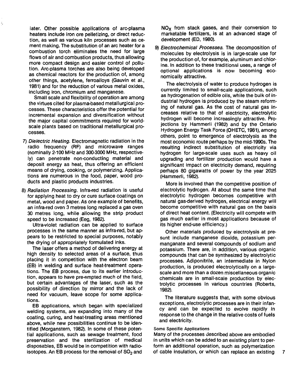later. Other possible applications of arc-plasma heaters include iron ore pelletizing, or direct reduction, as well as various kiln processes such as cement making. The substitution of an arc heater for a combustion torch eliminates the need for large flows of air and combustion products, thus allowing more compact design and easier control of pollution. Arc-plasma torches are also being developed as chemical reactors for the production of, among other things, acetylene, ferroalloys (Gauvin et al., 1981) and for the reduction of various metal oxides, including iron, chromium and manganese.

Small scale and flexibility of operation are among the virtues cited for plasma-based metallurgical processes. These characteristics offer the potential for incremental expansion and diversification without the major capital commitments required for worldscale plants based on traditional metallurgical processes.

- 7) Dielectric Heating. Electromagnetic radiation in the radio frequency (RF) and microwave ranges (nominally 2-100 MHz and 300-3000 MHz, respectively) can penetrate non-conducting material and deposit energy as heat, thus offering an efficient means of drying, cooking, or polymerizing. Applications are numerous in the food, paper, wood products and plastic products industries.
- 8) Radiation Processing. Infra-red radiation is useful for applying heat to dry or cure surface coatings on metal, wood and paper. As one example of benefits, an infra-red oven 3 metres long replaced a gas oven 30 metres long, while allowing the strip product speed to be increased (Eeg, 1982).

Ultra-violet radiation can be applied to surface processes in the same manner as infra-red, but appears to be restricted to special purposes, notably the drying of appropriately formulated inks.

The laser offers a method of delivering energy at high density to selected areas of a surface, thus placing it in competition with the electron beam (EB) in welding and surface heat-treatment operations. The EB process, due to its earlier introduction, appears to have pre-empted much of the field, but certain advantages of the laser, such as the possibility of direction by mirror and the lack of need for vacuum, leave scope for some applications.

EB applications, which began with specialized welding systems, are expanding into many of the coating, curing, and heat-treating areas mentioned above, while new possibilities continue to be identified (Morganstern, 1982). In some of these potential applications, such as sewage treatment, food preservation and the sterilization of medical disposables, EB would be in competition with radioisotopes. An EB process for the removal of  $SO<sub>2</sub>$  and

 $NO<sub>x</sub>$  from stack gases, and their conversion to marketable fertilizers, is at an advanced stage of development (ED, 1980).

9) Electrochemical Processes. The decomposition of molecules by electrolysis is in large-scale use for the production of, for example, aluminum and chlorine. In addition to these traditional uses, a range of optional applications is now becoming economically attractive.

The electrolysis of water to produce hydrogen is currently limited to small-scale applications, such as hydrogenation of edible oils, while the bulk of industrial hydrogen is produced by the steam reforming of natural gas. As the cost of natural gas increases relative to that of electricity, electrolytic hydrogen will become increasingly attractive. Projections by Hammerli (1982) and by the Ontario Hydrogen Energy Task Force (OHETC, 1981), among others, point to emergence of electrolysis as the most economic route perhaps by the mid-1990s. The resulting indirect substitution of electricity via hydrogen for large-scale uses such as heavy oil upgrading and fertilizer production would have a significant impact on electricity demand, requiring perhaps 80 gigawatts of power by the year 2025 (Hammerli, 1982).

More is involved than the competitive position of electrolytic hydrogen. At about the same time that electrolytic hydrogen becomes competitive with natural gas-derived hydrogen, electrical energy will become competitive with natural gas on the basis of direct heat content. (Electricity will compete with gas much earlier in most applications because of its higher end-use efficiency.)

Other materials produced by electrolysis at present include manganese dioxide, potassium permanganate and several compounds of sodium and potassium. There are, in addition, various organic compounds that can be synthesized by electrolytic processes. Adiponitrile, an intermediate in Nylon production, is produced electrolytically on a largescale and more than a dozen miscellaneous organic chemicals are in small-scale production by electrolytic processes in various countries (Roberts, 1982).

The literature suggests that, with some obvious exceptions, electrolytic processes are in their infancy and can be expected to evolve rapidly in response to the change in the relative costs of fuels and electricity.

### Some Specific Applications

Many of the processes described above are embodied in units which can be added to an existing plant to perform an additional operation, such as polymerization of cable insulation, or which can replace an existing 7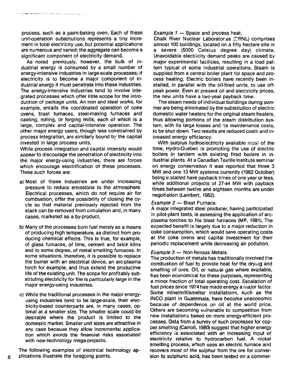process, such as a paint-baking oven. Each of these unit-operation substitutions represents a tiny increment in total electricity use, but potential applications are numerous and varied; the aggregate can become a significant component of electricity demand.

.<br>Waliofarika mwaka wa wakazi wa mshindi wa 1992 - Alifa wa Marekani wa Marekani wa Marekani wa Marekani wa Mare

As noted previously, however, the bulk of industrial energy is consumed by a small number of energy-intensive industries in large-scale processes; if electricity is to become a major component of industrial energy it must penetrate into these industries. The energy-intensive industries tend to involve integrated processes which offer little scope for the introduction of package units. An iron and steel works, for example, entails the coordinated operation of coke ovens, blast furnaces, steel-making furnaces and casting, rolling, or forging mills, each of which is a large, complex and capital-intensive operation. The other major energy users, though less constrained by process integration, are similarly bound by the capital invested in large process units.

While process integration and capital intensity would appear to discourage the penetration of electricity into the major energy-using industries, there are forces which encourage electrification of these processes. Three such forces are:

- a) Most of these industries are under increasing pressure to reduce emissions to the atmosphere. Electrical processes, which do not require air for combustion, offer the possibility of closing the cycle so that material previously rejected from the stack can be removed from circulation and, in many cases, marketed as a by-product.
- b) Many of the processes burn fuel merely as a means of producing high temperature, as distinct from producing chemical effects. This is true, for example, of glass furnaces, of lime, cement and brick kilns and to some degree, of metal smelting furnaces. In some situations, therefore, it is possible to replace the burner with an electrical device, an arc-plasma torch for example, and thus extend the productive life of the existing unit. The scope for profitably substituting electricity for fire is particularly large in the major energy-using industries.
- c) While the traditional processes in the major energyusing industries tend to be large-scale, their electricity-based counterparts are, in many cases, optimal at a smaller size. The smaller scale could be desirable where the product is limited to the domestic market. Smaller unit sizes are attractive in any case because they allow incremental application which avoids the financial risks associated with new-technology mega-projects.

The following examples of electrical technology applications illustrate the foregoing points.

Example 1 — Space and process heat.

Chalk River Nuclear Laboratories (CRNL) comprises almost 100 buildings, located on a fifty hectare site in a severe (5000 Celsius degree day) climate. Unavoidable electricity demand peaks are caused by major experimental facilities, resulting in a load pattern typical of some industrial operations. Steam is supplied from a central boiler plant for space and process heating. Electric boilers have recently been installed, in parallel with the oil-fired units, to use offpeak power. Even at present oil and electricity prices, the new units have a two-year payback time.

The steam needs of individual buildings during summer are being eliminated by the substitution of electric domestic water heaters for the original steam heaters, thus allowing portions of the steam distribution system, with its large losses and its maintenance costs, to be shut down. Two results are reduced costs and increased energy efficiency.

With surplus hydroelectricity available most of the time, Hydro-Quebec is promoting the use of electric boilers in tandem with existing fired boilers in industrial plants. At a Canadian Textile Institute seminar on energy conservation it was reported that three 3 MW and one 13 MW systems currently (1982 October) being installed have payback times of one year or less, while additional projects of 27-44 MW with payback times between twelve and eighteen months are under negotiation (Lambert, 1982).

### Example 2 — Blast Furnace.

A major integrated steel producer, having participated in pilot-plant tests, is assessing the application of arcplasma torches to his blast furnaces (MP, 1981). The expected benefit is largely due to a major reduction in coke consumption, which would save operating costs at the coke ovens and capital investment for their periodic replacement while decreasing air pollution.

## Example 3 — Non-ferrous Metals.

The production of metals has traditionally involved the combustion of fuel to provide heat for the drying and smelting of ores. Oil, or natural gas where available, has been economical for these purposes, representing a minor fraction of total operating cost. Escalation of fuel prices since 1974 has made energy a major factor, Some mine/mill/smelter installations, such as the INCO plant in Guatemala, have become uneconomic because of dependence on oil at the world price. Others are becoming vulnerable to competition from new installations based on more energy-efficient processes. Data from a survey of such processes for copper smelting (Carroll, 1980) suggest that higher energy efficiency is associated with an increasing input of electricity relative to hydrocarbon fuel. A nickel smelting process, which uses an electric furnace and recovers most of the sulphur from the ore for conversion to sulphuric acid, has been tested on a commer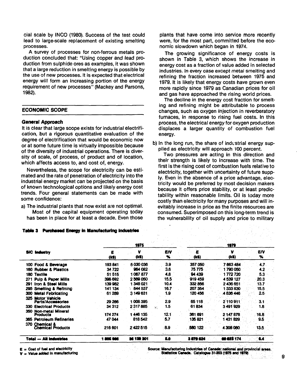cial scale by INCO (1980). Success of the test could lead to large-scale replacement of existing smelting processes.

A survey of processes for non-ferrous metals production concluded that: "Using copper and lead production from sulphide ores as examples, it was shown that a large reduction in smelting energy is possible by the use of new processes. It is expected that electrical energy will form an increasing portion of the energy requirement of new processes" (Mackey and Parsons, 1982).

## **ECONOMIC SCOPE**

#### **General Approach**

It is clear that large scope exists for industrial electrification, but a rigorous quantitative evaluation of the degree of electrification that would be economic now or at some future time is virtually impossible because of the diversity of industrial operations. There is diversity of scale, of process, of product and of location, which affects access to, and cost of, energy.

Nevertheless, the scope for electricity can be estimated and the rate of penetration of electricity into the industrial energy market can be projected on the basis of known technological options and likely energy cost trends. Four general statements can be made with some confidence:

a) The industrial plants that now exist are not optimal. Most of the capital equipment operating today has been in place for at least a decade. Even those plants that have come into service more recently were, for the most part, committed before the economic slowdown which began in 1974.

The growing significance of energy costs is shown in Table 3, which shows the increase in energy cost as a fraction of value added in selected industries. In every case except metal smelting and refining the fraction increased between 1975 and 1979. It is likely that energy costs have grown even more rapidly since 1979 as Canadian prices for oil and gas have approached the rising world prices.

The decline in the energy cost fraction for smelting and refining might be attributable to process changes, such as oxygen injection in reverberatory furnaces, in response to rising fuel costs. In this process, the electrical energy for oxygen production displaces a larger quantity of combustion fuel energy.

b) In the long run, the share of industrial energy supplied as electricity will approach I00 percent.

Two pressures are acting in this direction and their strength is likely to increase with time. The first is the rising cost of combustion fuels relative to electricity, together with uncertainty of future supply. Even in the absence of a price advantage, electricity would be preferred by most decision makers because it offers price stability, or at least predictability within reasonable limits. Oil is ioday more costly than electricity for many purposes and will inevitably increase in price as the finite resources are consumed. Superimposed on this long-term trend is the vulnerability of oil supply and price to military

| Table 3 | <b>Purchased Energy in Manufacturing Industries</b> |            |            |           |            |            |          |
|---------|-----------------------------------------------------|------------|------------|-----------|------------|------------|----------|
|         |                                                     |            | 1975       |           |            | 1979       |          |
|         | <b>SIC Industry</b>                                 | ε<br>(k\$) | v<br>(k\$) | EN<br>x   | Æ<br>(k\$) | ν<br>(k\$) | ΈΙΥ<br>% |
|         | 100 Food & Beverage                                 | 193841     | 5030036    | 3.9       | 357050     | 7 663 484  | 4.7.     |
|         | 160 Rubber & Plastics                               | 34 722     | 964 082    | 3.6       | 75775      | 1790.050   | 4.2      |
|         | 180 Textile                                         | 51515      | 1067877    | 4.8       | 94 439     | 1 772 720  | 5.3      |
| 271     | <b>Pulp &amp; Paper Mills</b>                       | 396 692    | 2569050    | 15.5      | 919 459    | 4 539 127  | 20.3     |
|         | 291 Iron & Steel Mills                              | 139 982    | 348 021    | 10.4      | 332856     | 2436651    | 13.7     |
|         | 295 Smelting & Refining                             | 141 134    | 844 537    | 16.7      | 207 354    | 1 333 830  | 15.5     |
|         | 300 Metal Fabricating                               | 61 289     | 3 149 631  | 1.9       | 120 456    | 4836446    | $2.5 -$  |
|         | 325 Motor Vehicle<br><b>Parts/Accessories</b>       | 29 286     | 008 395    | 2.9       | 65 118     | 2 110 911  | 3.1      |
|         | <b>330 Electrical Products</b>                      | 34 312     | 2 317 885  | 1.5<br>51 | 61834      | 3491929    | 1.8      |
|         | 350 Non-metal Mineral<br><b>Products</b>            | 174 274    | 1446 135   | 12.1      | 361 691    | 2 147 878  | $-16.8$  |
|         | 365 Petroleum Refineries                            | 47044      | 818 542    | 5.7       | 135821     | 431 829    | 9.5      |
|         | 370 Chemical &<br><b>Chemical Products</b>          | 216 601    | 2422515    | 8.9       | 580 122    | 4 306 060  | 13.5.    |
|         | <b>Total - All industries</b>                       | 1805 808   | 36 130 301 | - 6.0     | 3879624    | 00 823 174 | 64       |

**E** = Cost of fuel and electricity

**V = Valut addad In manufacturing**

Source: Manufacturing Industries of Canada: national and provincial areas. Statistics Canada. Catalogue 31-203 (1975 and 1979)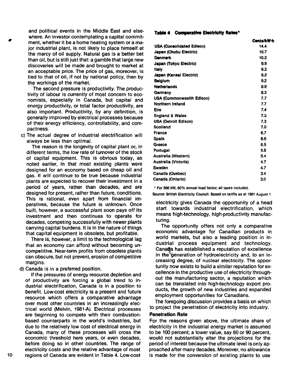and political events in the Middle East and elsewhere. An investor contemplating a capital commitment, whether it be a home heating system or a major industrial plant, is not likely to place himself at the mercy of oil supply. Natural gas is a better bet than oil, but is still just that: a gamble that large new discoveries will be made and brought to market at an acceptable price. The price of gas, moreover, is tied to that of oil, if not by national policy, then by the workings of the market.

The second pressure is productivity. The productivity of labour is currently of most concern to economists, especially in Canada, but capital and energy productivity, or total factor productivity, are also important. Productivity, by any definition, is generally improved by electrical processes because of their energy efficiency, controllability, and compactness.

c) The actual degree of industrial electrification will always be less than optimal.

The reason is the longevity of capital plant or, in different terms, the low rate of turnover of the stock of capital equipment. This is obvious today, as noted earlier, in that most existing plants were designed for an economy based on cheap oil and gas. It will continue to be true because industrial plants are expected to recover their investment in a period of years, rather than decades, and are designed for present, rather than future, conditions. This is rational, even apart from financial imperatives, because the future is unknown. Once built, however, a successful plant soon pays off its investment and then continues to operate for decades, competing successfully with newer plants carrying capital burdens. It is in the nature of things that capital equipment is obsolete, but profitable.

There is, however, a limit to the technological lag that an economy can afford without becoming uncompetitive. Near-term profits from obsolete plants can obscure, but not prevent, erosion of competitive margins.

d) Canada is in a preferred position.

If the pressures of energy resource depletion and of productivity are forcing a global trend to industrial electrification, Canada is in a position to benefit. Low-cost electricity is a present and future resource which offers a comparative advantage over most other countries in an increasingly electrical world (Melvin, 1981-A). Electrical processes are beginning to compete with their combustionbased counterparts in the world's industries, but due to the relatively low cost of electrical energy in Canada, many of these processes will cross the economic threshold here years, or even decades, before doing so in other countries. The range of electricity costs and the relative advantage of most regions of Canada are evident in Table 4. Low-cost

#### **Teble 4 Comparative Electricity Rates\***

|                                  | Cents/kW <sup>+</sup> h |
|----------------------------------|-------------------------|
| <b>USA (Consolidated Edison)</b> | 14.4                    |
| <b>Japan (Chubu Electric)</b>    | 10.7                    |
| Denmark                          | 10.2                    |
| Japan (Tokyo Electric)           | 9.8                     |
| <b>Italy</b>                     | 9.2                     |
| Japan (Kansai Electric)          | 9.2                     |
| <b>Belgium</b>                   | 9.2                     |
| <b>Netherlands</b>               | 8.9                     |
| Germany                          | 8.3                     |
| <b>USA (Commonwealth Edison)</b> | 7.7                     |
| Northern Ireland                 | 77                      |
| Eire                             | 7.4                     |
| <b>England &amp; Wales</b>       | 7.3                     |
| <b>USA (Detroit Edison)</b>      | 7.3                     |
| Scotland                         | 7.0                     |
| France                           | 6.7                     |
| Spain                            | 6.6                     |
| Greece                           | 6.5                     |
| Portugal                         | 5.6                     |
| Australia (Western)              | 5.4                     |
| Australia (Victoria)             | 4.7                     |
| Sweden                           | 4.7                     |
| Canada (Quebec)                  | 3.4                     |
| Canada (Ontario)                 | 3.0                     |

\* For 500 kW, 60% annual load factor; all taxes included.

**Source:** British Electricity Council. Based on tariffs as at 1981 August 1

electricity gives Canada the opportunity of a head start towards industrial electrification, which means high-technology, high-productivity manufacturing.

The opportunity offers not only a comparative economic advantage for Canadian products in world markets, but also a leading position in industrial process equipment and technology. Canada has established a reputation of excellence in the *queneration of hydroelectricity and, to an in*creasing degree, of nuclear electricity. The opportunity now exists to build a similar reputation for excellence in the productive use of electricity throughout the manufacturing sector, a reputation which can be translated into high-technology export products, the growth of new industries and expanded employment opportunities for Canadians.

The foregoing discussion provides a basis on which to project the penetration of electricity into industry.

### Penetration Rate

For the reasons given above, the ultimate share of electricity in the industrial energy market is assumed to be 100 percent; a lower value, say 80 or 90 percent, would not substantially alter the projections for the period of interest because the ultimate level is only approached after many decades. Moreover, no allowance is made for the conversion of existing plants to use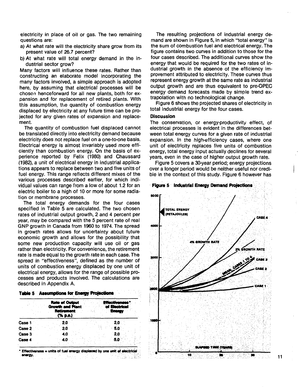electricity in place of oil or gas. The two remaining questions are:

- a) At what rate will the electricity share grow from its present value of 26.7 percent?
- b) At what rate will total energy demand in the industrial sector grow?

Many factors will influence these rates. Rather than constructing an elaborate model incorporating the many factors involved, a simple approach is adopted here, by assuming that electrical processes will be chosen henceforward for all new plants, both for expansion and for replacement of retired plants. With this assumption, the quantity of combustion energy displaced by electricity at any future time can be projected for any given rates of expansion and replacement.

The quantity of combustion fuel displaced cannot be translated directly into electricity demand because electricity does not replace fuel on a one-to-one basis. Electrical energy is almost invariably used more efficiently than combustion energy. On the basis of experience reported by Felix (1980) and Chaussard (1982), a unit of electrical energy in industrial applications appears to replace between two and five units of fuel energy. This range reflects different mixes of the various processes described earlier, for which individual values can range from a low of about 1.2 for an electric boiler to a high of 10 or more for some radiation or membrane processes.

The total energy demands for the four cases specified in Table 5 are calculated. The two chosen rates of industrial output growth, 2 and 4 percent per year, may be compared with the 5 percent rate of real GNP growth in Canada from 1960 to 1974. The spread in growth rates allows for uncertainty about future economic growth and allows for the possibility that some new production capacity will use oil or gas rather than electricity. For convenience, the retirement rate is made equal to the growth rate in each case. The spread in "effectiveness", defined as the number of units of combustion energy displaced by one unit of electrical energy, allows for the range of possible processes and products involved. The calculations are described in Appendix A.

| <b>Table 5 Assumptions for Energy Projections</b> |  |
|---------------------------------------------------|--|
|                                                   |  |
|                                                   |  |
|                                                   |  |
|                                                   |  |
|                                                   |  |
|                                                   |  |

| (% p.a.)<br>2.0<br>Case 1<br>2.0 | otivani<br>of Electrical |
|----------------------------------|--------------------------|
|                                  |                          |
| $-5.0$<br>Case 2<br>2.0          |                          |
| Case 3<br>2.0<br>4.0             |                          |
| Case 4<br>4.0<br>56              |                          |

**• Effectiveness = units of fuel energy displaced by one writ of electrical anwgy.** 857X

The resulting projections of industrial energy demand are shown in Figure 5, in which "total energy" is the sum of combustion fuel and electrical energy. The figure contains two curves in addition to those for the four cases described. The additional curves show the energy that would be required for the two rates of industrial growth in the absence of the efficiency improvement attributed to electricity. These curves thus represent energy growth at the same rate as industrial output growth and are thus equivalent to pre-OPEC energy demand forecasts made by simple trend extrapolation with no technological change.

Figure 6 shows the projected shares of electricity in total industrial energy for the four cases.

#### **Discussion**

The conservation, or energy-productivity effect, of electrical processes is evident in the differences between total energy curves for a given rate of industrial expansion. In the high-efficiency cases, where one unit of electricity replaces five units of combustion energy, total energy input actually declines for several years, even in the case of higher output growth rate.

Figure 5 covers a 30-year period; energy projections over a longer period would be neither useful nor credible in the context of this study. Figure 6 however has





**11**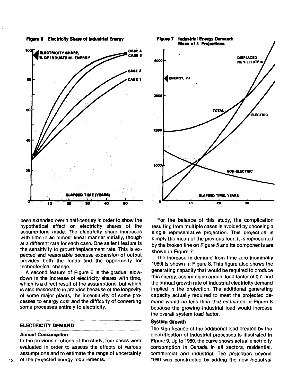



been extended over a half-century in order to show the hypothetical effect on electricity shares of the assumptions made. The electricity share increases with time in an almost linear manner initially, though at a different rate for each case. One salient feature is the sensitivity to growth/replacement rate. This is expected and reasonable because expansion of output provides both the funds and the opportunity for technological change.

A second feature of Figure 6 is the gradual slowdown in the increase of electricity shares with time, which is a direct result of the assumptions, but which is also reasonable in practice because of the longevity of some major plants, the insensitivity of some processes to energy cost and the difficulty of converting some processes entirely to electricity.

### **ELECTRICITY DEMAND**

### **Annual Consumption**

In the previous sections of the study, four cases were evaluated in order to assess the effects of various assumptions and to estimate the range of uncertainty 12 of the projected energy requirements.



For the balance of this study, the complication resulting from multiple cases is avoided by choosing a single representative projection. This projection is simply the mean of the previous four; it is represented by the broken line on Figure 5 and its components are shown in Figure 7.

The increase in demand from time zero (nominally 1980) is shown in Figure 8. This figure also shows the generating capacity that would be required to produce this energy, assuming an annual load factor of 0.7, and the annual growth rate of industrial electricity demand implied in the projection. The additional generating capacity actually required to meet the projected demand would be less than that estimated in Figure 8 because the growing industrial load would increase the overall system load factor.

# **System Growth**

The significance of the additional load created by the electrification of industrial processes is illustrated in Figure 9. Up to 1980, the curve shows actual electricity consumption in Canada in all sectors, residential, commercial and industrial. The projection beyond 1980 was constructed by adding the new industrial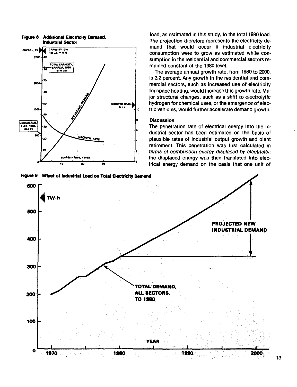

**Figure 8 Additional Electricity Demand. Industrial Sector**

**Figure 9 Effect of Industrial Load on Total Electricity Demand**

load, as estimated in this study, to the total 1980 load. The projection therefore represents the electricity demand that would occur if industrial electricity consumption were to grow as estimated while consumption in the residential and commercial sectors remained constant at the 1980 level.

The average annual growth rate, from 1980 to 2000, is 3.2 percent. Any growth in the residential and commercial sectors, such as increased use of electricity for space heating, would increase this growth rate. Major structural changes, such as a shift to electrolytic hydrogen for chemical uses, or the emergence of electric vehicles, would further accelerate demand growth.

## **Discussion**

The penetration rate of electrical energy into the industrial sector has been estimated on the basis of plausible rates of industrial output growth and plant retirement. This penetration was first calculated in terms of combustion energy displaced by electricity; the displaced energy was then translated into electrical energy demand on the basis that one unit of

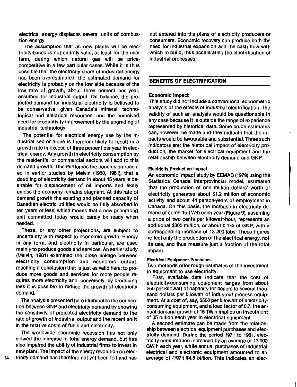electrical energy displaces several units of combustion energy.

The assumption that all new plants will be electricity-based is not entirely valid, at least for the near term, during which natural gas will be pricecompetitive in a few particular cases. While it is thus possible that the electricity share of industrial energy has been overestimated, the estimated demand for electricity is probably on the low side because of the low rate of growth, about three percent per year, assumed for industrial output. On balance, the projected demand for industrial electricity is believed to be conservative, given Canada's mineral, technological and electrical resources, and the perceived need for productivity improvement by the upgrading of industrial technology.

The potential for electrical energy use by the industrial sector alone is therefore likely to result in a growth rate in excess of three percent per year in electrical energy. Any growth in electricity consumption by the residential or commercial sectors will add to this demand growth. This reinforces the conclusion reached in earlier studies by Melvin (1980, 1981), that a doubling of electricity demand in about 15 years is desirable for displacement of oil imports and likely unless the economy remains stagnant. At this rate of demand growth the existing and planned capacity of Canadian electric utilities would be fully absorbed in ten years or less, which means that a new generating unit committed today would barely be ready when needed.

These, or any other projections, are subject to uncertainty with respect to economic growth. Energy in any form, and electricity in particular, are used mainly to produce goods and services. An earlier study (Melvin, 1981) examined the close linkage between electricity consumption and economic output, reaching a conclusion that is just as valid here: to produce more goods and services for more people requires more electricity and, conversely, by producing less it is possible to reduce the growth of electricity demand.

The analysis presented here illuminates the connection between GNP and electricity demand by showing the sensitivity of projected electricity demand to the rate of growth of industrial output and the recent shift in the relative costs of fuels and electricity.

The worldwide economic recession has not only slowed the increase in total energy demand, but has also impaired the ability of industrial firms to invest in new plant. The impact of the energy revolution on elecnot entered into the plans of electricity producers or consumers. Economic recovery can produce both the need for industrial expansion and the cash flow with which to build, thus accelerating the electrification of industrial processes.

## **BENEFITS OF ELECTRIFICATION**

### **Economic Impact**

This study did not include a conventional econometric analysis of the effects of industrial electrification. The validity of such an analysis would be questionable in any case because it is outside the range of experience represented by historical data. Some crude estimates can, however, be made and they indicate that the impacts would be favourable and substantial. Three such indicators are: the historical impact of electricity production, the market for electrical equipment and the relationship between electricity demand and GNP.

### Electricity Production Impact

An economic impact study by EEMAC (1979) using the Statistics Canada interprovincial model, estimated that the production of one million dollars' worth of electricity generates about \$1.2 million of economic activity and about 44 person-years of employment in Canada. On this basis, the increase in electricity demand of some 15 TW-h each year (Figure 9), assuming a price of two cents per kilowatt-hour, represents an additional \$300 million, or about 0.1% of GNP, with a corresponding increase of 13 200 jobs. These figures reflect only the production of the electrical energy, not its use, and thus measure just a fraction of the total impact.

### Electrical Equipment Purchases

Two methods offer rough estimates of the investment in equipment to use electricity.

First, available data indicate that the cost of electricity-consuming equipment ranges from about \$50 per kilowatt of capacity for boilers to several thousand dollars per kilowatt of industrial process equipment. At a cost of, say, \$500 per kilowatt of electricityconsuming equipment, and a load factor of 0.7, the annual demand growth of 15 TW-h implies an investment of \$5 billion each year in electrical equipment.

A second estimate can be made from the relationship between electrical equipment purchases and electricity demand. During the period 1971 to 1981, electricity consumption increased by an average of 13 000 GW-h each year, while annual purchases of industrial electrical and electronic equipment amounted to an average of (1971) \$4.5 billion. This indicates an elec-

14 tricity demand has therefore not yet been felt and has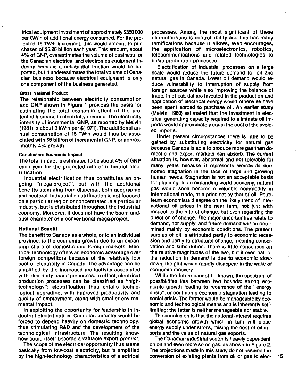trical equipment investment of approximately \$350 000 per GW-h of additional energy consumed. For the projected 15 TW-h increment, this would amount to purchases of \$5.25 billion each year. This amount, about 4% of GNP, overestimates the volume of business for the Canadian electrical and electronics equipment industry because a substantial fraction would be imported, but it underestimates the total volume of Canadian business because electrical equipment is only one component of the business generated.

### Gross National Product

The relationship between electricity consumption and GNP shown in Figure 1 provides the basis for estimating the total economic effect of the projected increase in electricity demand. The electricity intensity of incremental GNP, as reported by Melvin (1981) is about 3 kW-h per \$(1971). The additional annual consumption of 15 TW-h would thus be associated with \$5 billion of incremental GNP, or approximately 4% growth.

#### Conclusion: Economic Impact

The total impact is estimated to be about 4% of GNP each year for the projected rate of industrial electrification.

Industrial electrification thus constitutes an ongoing "mega-project", but with the additional benefits stemming from dispersal, both geographic and sectoral. Industrial electrification is not focused on a particular region or concentrated in a particular industry, but is distributed throughout the industrial economy. Moreover, it does not have the boom-andbust character of a conventional mega-project.

### **National Benefit**

The benefit to Canada as a whole, or to an individual province, is the economic growth due to an expanding share of domestic and foreign markets. Electrical technology offers an economic advantage over foreign competitors because of the relatively low cost of electricity in Canada. The advantage can be amplified by the increased productivity associated with electricity-based processes. In effect, electrical production processes can be classified as "hightechnology"; electrification thus entails technological upgrading, with improved productivity and quality of employment, along with smaller environmental impact.

In exploiting the opportunity for leadership in industrial electrification, Canadian industry would be forced to depend heavily on domestic technology, thus stimulating R&D and the development of the technological infrastructure. The resulting knowhow could itself become a valuable export product.

The scope of the electrical opportunity thus stems basically from low-cost electricity, but is amplified by the high-technology characteristics of electrical processes. Among the most significant of these characteristics is controllability and this has many ramifications because it allows, even encourages, the application of microelectronics, robotics, telecommunications and related technologies to basic production processes.

Electrification of industrial processes on a large scale would reduce the future demand for oil and natural gas in Canada. Lower oil demand would reduce vulnerability to interruption of supply from foreign sources while also improving the balance of trade. In effect, dollars invested in the production and application of electrical energy would otherwise have been spent abroad to purchase oil. An earlier study (Melvin, 1980) estimated that the investment in electrical generating capacity required to eliminate oil imports would approximately equal the cost of the avoided imports.

Under present circumstances there is **little to** be gained by substituting electricity for **natural** gas because Canada is able to produce more **gas than** domestic and export markets can absorb. The current situation is, however, abnormal and not **tolerable for** many years because it represents worldwide economic stagnation in the face of large and growing human needs. Stagnation is not an acceptable basis for planning. In an expanding world economy, natural gas would soon become a valuable commodity in international trade, at a price set by that of oil. Petroleum economists disagree on the likely trend of international oil prices in the near term, not just with respect to the rate of change, but even regarding the direction of change. The major uncertainties relate to demand, not supply, and future demand will be determined mainly by economic conditions. The present surplus of oil is attributed partly to economic recession and partly to structural change, meaning conservation and substitution. There is little consensus on the relative magnitudes of the two, but if even half of the reduction in demand is due to economic slowdown, the glut would rapidly disappear in the wake of economic recovery.

While the future cannot be known, the spectrum of possibilities lies between two bounds: strong economic growth leading to recurrence of the "energy crisis", or continuing economic stagnation leading to social crisis. The former would be manageable by economic and technological means and is inherently selflimiting; the latter is neither manageable nor stable.

The conclusion is that the national interest requires global economic growth which in turn will place energy supply under stress, raising the cost of oil imports and the value of natural gas exports.

The Canadian industrial sector is heavily dependent on oil and even more so on gas, as shown in Figure 2. The projections made in this study do not assume the conversion of existing plants from oil or gas to elec- 15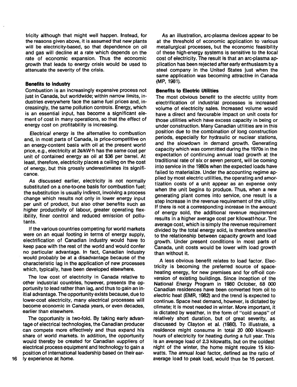tricity although that might well happen. Instead, for the reasons given above, it is assumed that new plants will be electricity-based, so that dependence on oil and gas will decline at a rate which depends on the rate of economic expansion. Thus the economic growth that leads to energy crisis would be used to attenuate the severity of the crisis.

### **Benefits to Industry**

Combustion is an increasingly expensive process not just in Canada, but worldwide; within narrow limits, industries everywhere face the same fuel prices and, increasingly, the same pollution controls. Energy, which is an essential input, has become a significant element of cost in many operations, so that the effect of energy cost on profitability is increasing.

Electrical energy is the alternative to combustion and, in most parts of Canada, is price-competitive on an energy-content basis with oil at the present world price, e.g., electricity at 2 $\varphi$ /kW·h has the same cost per unit of contained energy as oil at \$36 per barrel. At least, therefore, electricity places a ceiling on the cost of energy, but this grossly underestimates its significance.

As discussed earlier, electricity is not normally substituted on a one-to-one basis for combustion fuel; the substitution is usually indirect, involving a process change which results not only in lower energy input per unit of product, but also other benefits such as higher productivity of labour, greater operating flexibility, finer control and reduced emission of pollutants.

If the various countries competing for world markets were on an equal footing in terms of energy supply, electrification of Canadian industry would have to keep pace with the rest of the world and would confer no particular advantage. In fact, Canadian industry would probably be at a disadvantage because of the characteristic lag in the application of new processes which, typically, have been developed elsewhere.

The low cost of electricity in Canada relative to other industrial countries, however, presents the opportunity to lead rather than lag, and thus to gain an initial advantage. The opportunity exists because, due to lower-cost electricity, many electrical processes will become economic in Canada years, or even decades, earlier than elsewhere.

The opportunity is two-fold. By taking early advantage of electrical technologies, the Canadian producer can compete more effectively and thus expand his share of world markets. In addition, the opportunity would thereby be created for Canadian suppliers of electrical process equipment and technology to gain a position of international leadership based on their ear-16 iy experience at home.

As an illustration, arc-plasma devices appear to be at the threshold of economic application to various metallurgical processes, but the economic feasibility of these high-energy systems is sensitive to the local cost of electricity. The result is that an arc-plasma application has been rejected after early enthusiasm by a steel company in the United States just when the same application was becoming attractive in Canada (MP, 1981).

## **Benefits to Electric Utilities**

The most obvious benefit to the electric utility from electrification of industrial processes is increased volume of electricity sales. Increased volume would have a direct and favourable impact on unit costs for those utilities which have excess capacity in being or under construction. Many Canadian utilities are in this position due to the combination of long construction periods, especially for hydraulic or nuclear stations, and the slowdown in demand growth. Generating capacity which was committed during the 1970s in the expectation of continuing annual load growth at the traditional rate of six or seven percent, will be coming into service in the 1980s when the expected loads have failed to materialize. Under the accounting regime applied by most electric utilities, the operating and amortization costs of a unit appear as an expense only when the unit begins to produce. Thus, when a new generating plant comes into service, one result is a step increase in the revenue requirement of the utility. If there is not a corresponding increase in the amount of energy sold, the additional revenue requirement results in a higher average cost per kilowatt-hour. The average cost, which is simply the revenue requirement divided by the total energy sold, is therefore sensitive to the relationship between capacity growth and load growth. Under present conditions in most parts of Canada, unit costs would be lower with load growth than without it.

A less obvious benefit relates to load factor. Electricity is becoming the preferred source of spaceheating energy, for new premises and for off-oil conversion of existing buildings. Since inception of the National Energy Program in 1980 October, 68 000 Canadian residences have been converted from oil to electric heat (EMR, 1982) and the trend is expected to continue. Space heat demand, however, is dictated by climate; it is most needed in winter. More important, it is dictated by weather, in the form of "cold snaps" of relatively short duration, but of great severity, as discussed by Clayton et al. (1980). To illustrate, a residence might consume in total 20 000 kilowatthours of electricity for heating during a full year. This is an average load of 2.3 kilowatts, but on the coldest night of the winter, the home might require 15 kilowatts. The annual load factor, defined as the ratio of average load to peak load, would thus be 15 percent.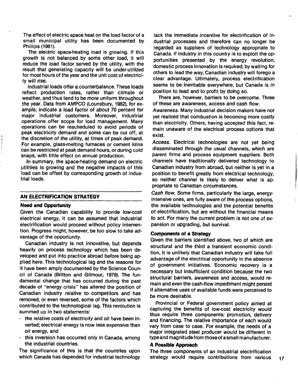The effect of electric space heat on the load factor of a small municipal utility has been documented by Phillips (1981).

The electric space-heating load is growing. If this growth is not balanced by some other load, it will reduce the load factor served by the utility, with the result that generating capacity will be under-utilized for most hours of the year and the unit cost of electricity will rise.

Industrial loads offer a counterbalance. These loads reflect production rates, rather than climate or weather, and thus tend to be more uniform throughout the year. Data from AMPCO (Lounsbury, 1982), for example, indicate a load factor of about 70 percent for major industrial customers. Moreover, industrial operations offer scope for load management. Many operations can be rescheduled to avoid periods of peak electricity demand and some can be cut off, at the discretion of the utility, at times of peak demand. For example, glass-melting furnaces or cement kilns can be restricted at peak demand hours, or during cold snaps, with little effect on annual production.

In summary, the space-heating demand on electric utilities is growing and the negative impacts of this load can be offset by corresponding growth of industrial loads.

### **AN ELECTRIFICATION STRATEGY**

#### **Need and Opportunity**

 $\begin{array}{c} 1 \\ 1 \\ 1 \\ 1 \end{array}$ 

Given the Canadian capability to provide low-cost electrical energy, it can be assumed that industrial electrification would proceed without policy intervention. Progress might, however, be too slow to take advantage of the opportunity.

Canadian industry is not innovative, but depends heavily on process technology which has been developed and put into practice abroad before being applied here. This technological lag and the reasons for it have been amply documented by the Science Council of Canada (Britton and Gilmour, 1978). The fundamental change that has occurred during the past decade of "energy crisis" has altered the position of Canadian industry relative to competitors and has removed, or even reversed, some of the factors which contributed to the technological lag. This revolution is summed up in two statements:

- the relative costs of electricity and oil have been inverted; electrical energy is now less expensive than oil energy, and
- this inversion has occurred only in Canada, among the industrial countries.

The significance of this is that the countries upon which Canada has depended for industrial technology

lack the immediate incentive for electrification of industrial processes and therefore can no longer be regarded as suppliers of technology appropriate to Canada. If industry in this country is to exploit the opportunities presented by the energy revolution, domestic process innovation is required; by waiting for others to lead the way, Canadian industry will forego a clear advantage. Ultimately, process electrification seems to be inevitable everywhere, but Canada is in position to lead and to profit by doing so.

There are, however, barriers to be overcome. Three of these are awareness, access and cash flow.

Awareness. Many industrial decision makers have not yet realized that combustion is becoming more costly than electricity. Others, having accepted this fact, remain unaware of the electrical process options that exist.

Access. Electrical technologies are not yet being disseminated through the usual channels, which are parent firms and process equipment suppliers. Both channels have traditionally delivered technology to Canadian industry from abroad, but neither is yet in a position to benefit greatly from electrical technology, so neither channel is likely to deliver what is appropriate to Canadian circumstances.

Cash flow. Some firms, particularly the large, energyintensive ones, are fully aware of the process options, the available technologies and the potential benefits of electrification, but are without the financial means to act. For many the current problem is not one of expansion or upgrading, but survival.

### **Components of a Strategy**

Given the barriers identified above, two of which are structural and the third a transient economic condition, it is unlikely that Canadian industry will take full advantage of the electrical opportunity in the absence of government initiatives. Economic recovery is a necessary but insufficient condition because the two structural barriers, awareness and access, would remain and even the cash-flow impediment might persist if alternative uses of available funds were perceived to be more desirable.

Provincial or Federal government policy aimed at capturing the benefits of low-cost electricity would thus require three components: promotion, delivery and financing. The relative importance of each would vary from case to case. For example, the needs of a major integrated steel producer would be different in type and magnitude from those of asmall manufacturer.

## **A Possible Approach**

The three components of an industrial electrification strategy would require contributions from various 17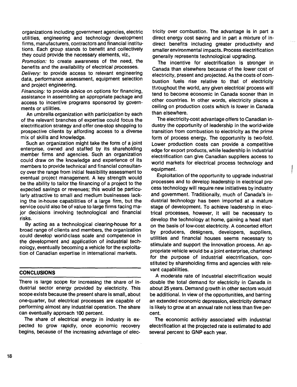organizations including government agencies, electric utilities, engineering and technology development firms, manufacturers, contractors and financial institutions. Each group stands to benefit and collectively they could provide the necessary elements, viz.,

Promotion: to create awareness of the need, the benefits and the availability of electrical processes.

Delivery: to provide access to relevant engineering data, performance assessment, equipment selection and project engineering.

Financing: to provide advice on options for financing, assistance in assembling an appropriate package and access to incentive programs sponsored by governments or utilities.

An umbrella organization with participation by each of the relevant branches of expertise could focus the electrification strategy and offer one-stop shopping to prospective clients by affording access to a diverse mix of skills and knowledge.

Such an organization might take the form of a joint enterprise, owned and staffed by its shareholding member firms and agencies. Such an organization could draw on the knowledge and experience of its members to provide technical and financial consultancy over the range from initial feasibility assessment to eventual project management. A key strength would be the ability to tailor the financing of a project to the expected savings or revenues; this would be particularly attractive to small and medium businesses lacking the in-house capabilities of a large firm, but the service could also be of value to large firms facing major decisions involving technological and financial risks.

By acting as a technological clearing-house for a broad range of clients and members, the organization could develop world-class scale and competence in the development and application of industrial technology, eventually becoming a vehicle for the exploitation of Canadian expertise in international markets.

## **CONCLUSIONS**

There is targe scope for increasing the share of industrial sector energy provided by electricity. This scope exists because the present share is small, about one-quarter, but electrical processes are capable of performing almost any industrial operation. The share can eventually approach 100 percent.

The share of electrical energy in industry is expected to grow rapidly, once economic recovery begins, because of the increasing advantage of electricity over combustion. The advantage is in part a direct energy cost saving and in part a mixture of indirect benefits including greater productivity and smaller environmental impacts. Process electrification generally represents technological upgrading.

The incentive for electrification is stronger in Canada than elsewhere because of the lower cost of electricity, present and projected. As the costs of combustion fuels rise relative to that of electricity throughout the world, any given electrical process will tend to become economic in Canada sooner than in other countries. In other words, electricity places a ceiling on production costs which is lower in Canada than elsewhere.

The electricity-cost advantage offers to Canadian industry the opportunity of leadership in the world-wide transition from combustion to electricity as the prime form of process energy. The opportunity is two-fold. Lower production costs can provide a competitive edge for export products, while leadership in industrial electrification can give Canadian suppliers access to world markets for electrical process technology and equipment.

Exploitation of the opportunity to upgrade industrial processes and to develop leadership in electrical process technology will require new initiatives by industry and government. Traditionally, much of Canada's industrial technology has been imported at a mature stage of development. To achieve leadership in electrical processes, however, it will be necessary to develop the technology at home, gaining a head start on the basis of low-cost electricity. A concerted effort by producers, designers, developers, suppliers, utilities and financial houses seems necessary to stimulate and support the innovation process. An appropriate vehicle would be a joint enterprise, chartered for the purpose of industrial electrification, constituted by shareholding firms and agencies with relevant capabilities.

A moderate rate of industrial electrification would double the total demand for electricity in Canada in about 25 years. Demand growth in other sectors would be additional. In view of the opportunities, and barring an extended economic depression, electricity demand is likely to grow at an annual rate not less than five percent.

The economic activity associated with industrial electrification at the projected rate is estimated to add several percent to GNP each year.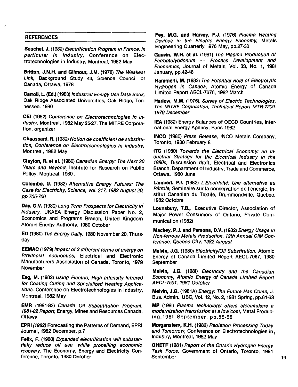# **REFERENCES**

**Bouchet, J.** (1982) Electrification Program in France, in particular in Industry, Conference on Electrotechnologies in Industry, Montreal, 1982 May

 $\ddot{\phantom{a}}$ 

**Britton, J.N.H. and Gilmour, J.M.** (1978) The Weakest Link, Background Study 43, Science Council of Canada, Ottawa, 1978

**Carroll, L. (Ed.)** (1980) Industrial Energy Use Data Book, Oak Ridge Associated Universities, Oak Ridge, Tennessee, 1980

**CEI** (1982) Conference on Electrotechnologies in Industry, Montreal, 1982 May 25-27, The MITRE Corporation, organizer

**Chaussard,** R. (1982) Notion de coefficient de substitution, Conference on Electrotechnologies in Industry, Montreal, 1982 May

**Clayton, Rs et al.** (1980) Canadian Energy: The Next 20 Years and Beyond, Institute for Research on Public Policy, Montreal, 1980.

**Colombo, U.** (1982) Alternative Energy Futures: The Case for Electricity, Science, Vol. 217,1982 August 20, pp.705-709

Day, G.V. (1980) Long Term Prospects for Electricity in Industry, UKAEA Energy Discussion Paper No. 2, Economics and Programs Branch, United Kingdom Atomic Energy Authority, 1980 October

ED (1980) The Energy Daily, 1980 November 20, Thursday

**EEMAC** (1979) Impact of 3 different forms of energy on Provincial economies, Electrical and Electronic Manufacturers Association of Canada, Toronto, 1979 November

**Eeg,** M. (1982) Using Electric, High Intensity Infrared for Coating Curing and Specialized Heating Applications. Conference on Electrotechnologies in Industry, Montreal, 1982 May

**EMR** (1981-82) Canada Oil Substititution Program, 1981-82 Report, Energy, Mines and Resources Canada, **Ottawa** 

**EPRI** (1982) Forecasting the Patterns of Demand, EPRI Journal, 1982 December, p.7

**Felix,** F. (1980) Expanded electrification will substantially reduce oil use, while propelling economic recovery, The Economy, Energy and Electricity Conference, Toronto, 1980 October

**Fey, M.G. and Harvey, F.J.** (1976) Plasma Heating Devices in the Electric Energy Economy, Metals Engineering Quarterly, I976 May, pp.27-30

**Gauvin, W.H. et al.** (1981) The Plasma Production of Ferromolybdenum — Process Development and Economics, Journal of Metals, Vol. 33, No. 1, 1981 January, pp.42-46

**Hammerli, M.** (1982) The Potential Role of Electrolytic Hydrogen in Canada, Atomic Energy of Canada Limited Report AECL-7676,1982 March

Hariow, M.M. (1976), Survey of Electric Technologies, The MITRE Corporation, Technical Report MTR-7209, 1976 December

**IEA** (1982) Energy Balances of OECD Countries, International Energy Agency, Paris 1982

**INCO** (1980) Press Release, INCO Metals Company, Toronto, 1980 February 8

**ITC** (1980) Towards the Electrical Economy: an Industrial Strategy for the Electrical Industry in the 1980s, Discussion draft, Electrical and Electronics Branch, Department of Industry, Trade and Commerce, Ottawa, 1980 June

**Lambert, P.I.** (1982) L'Electricite: Une alternative au Pétrole, Seminaire sur la conservation de l'énergie, Institut Canadien du Textile, Drummondville, Quebec, 1982 Octobre

**Lounsbury, T.B.,** Executive Director, Association of Major Power Consumers of Ontario, Private Communication (1982)

**Mackey, P.J. and Parsons, D.V.** (1982) Energy Usage in Non-ferrous Metals Production, 12th Annual CIM Conference, Quebec City, 1982 August

**Melvin, J.G.** (1980) Electricity/Oil Substitution, Atomic Energy of Canada Limited Report AECL-7067, 1980 **September** 

**Melvin, J.G.** (1981) Electricity and the Canadian Economy, Atomic Energy of Canada Limited Report AECL-7501, 1981 October

**Melvin, J.G.** (1981A) Energy: The Future Has Come, J. Bus. Admin., UBC, Vol. 12, No. 2,1981 Spring, pp.61-68

MP (1981) Plasma technology offers steelmakers a modernization transfusion at a low cost, Metal Producing,1981 September, pp.55-58

**Morganstem, K.H.** (1982) Radiation Processing Today and Tomorrow, Conference on Electrotechnologies in, Industry, Montreal, 1982 May

**OHETF** (1981) Report of the Ontario Hydrogen Energy Task Force, Government of Ontario, Toronto, 1981 September 19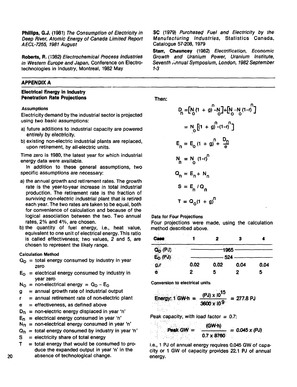**Phillips, G.J.** (1981) The Consumption of Electricity in Deep River, Atomic Energy of Canada Limited Report AECL-7255, 1981 August

**Roberts, R.** (1382) Electrochemical Process Industries in Western Europe and Japan, Conference on Electrotechnologies in Industry, Montreal, 1982 May

# **APPENDIX A**

# **Electrical Energy in Industry Penetration Rate Projections**

### **Assumptions**

Electricity demand by the industrial sector is projected using two basic assumptions:

- a) future additions to industrial capacity are powered entirely by electricity.
- b) existing non-electric industrial plants are replaced, upon retirement, by all-electric units.

Time zero is 1980, the latest year for which industrial energy data were available.

In addition to these general assumptions, two specific assumptions are necessary:

- a) the annual growth and retirement rates. The growth rate is the year-to-year increase in total industrial production. The retirement rate is the fraction of surviving non-electric industrial plant that is retired each year. The two rates are taken to be equal, both for convenience of calculation and because of the logical association between the two. Two annual rates, 2% and 4%, are chosen.
- b) the quantity of fuel energy, i.e., heat value, equivalent to one unit of electrical energy. This ratio is called effectiveness; two values, 2 and 5, are chosen to represent the likely range.

### Calculation Method

- $Q_0$  = total energy consumed by industry in year zero
- $E<sub>O</sub>$  = electrical energy consumed by industry in year zero
- $N_{\Omega}$  = non-electrical energy =  $Q_{\Omega}$  E<sub>o</sub>
- $g =$  annual growth rate of industrial output
- $r =$  annual retirement rate of non-electric plant
- $e =$  effectiveness, as defined above
- $D_n$  = non-electric energy displaced in year 'n'
- $E_n$  = electrical energy consumed in year 'n'
- $N_n$  = non-electrical energy consumed in year 'n'
- $Q_n$  = total energy consumed by industry in year 'n'
- $S =$  electricity share of total energy
- $T =$  total energy that would be consumed to produce the expanded output in year 'n' in the absence of technological change.

**SC** (1979) Purchased Fuel and Electricity by the Manufacturing Industries, Statistics Canada, Catalogue 57-208, 1979

**Starr, Chauncey** (1982) Electrification, Economic Growth and Uranium Power, Uranium Institute, Seventh ,-nnual Symposium, London, 1982 September *1-3*

**Then:**

$$
D_{n} = [N_{0}(1 + g)^{n} - N_{0}] + [N_{0} - N_{0}(1 - r)^{n}]
$$
  
\n
$$
= N_{0} [(1 + g)^{n} - (1 - r)^{n}]
$$
  
\n
$$
E_{n} = E_{0} (1 + g)^{n} + \frac{D_{n}}{e}
$$
  
\n
$$
N_{n} = N_{0} (1 - r)^{n}
$$
  
\n
$$
Q_{n} = E_{n} + N_{n}
$$
  
\n
$$
S = E_{n} / Q_{n}
$$
  
\n
$$
T = Q_{0}(1 + g)^{n}
$$

Data for Four Projections

Four projections were made, using the calculation method described above.

|                                   |      | 2            |      |      |
|-----------------------------------|------|--------------|------|------|
| $Q_O$ (PJ)<br>E <sub>O</sub> (PJ) |      | 1965         |      |      |
| g,r                               | 0.02 | 524.<br>0.02 | 0.04 | 0.04 |
| $\bullet$                         | 2    | 5.           |      | 5    |

**Conversion to electrical units**

Province Auto

taha Siri,

Energy: 1 GW h = 
$$
\frac{(PJ) \times 10^{15}}{3600 \times 10^{9}} = 277.8 \text{ PJ}
$$

Peak capacity, with load factor  $= 0.7$ :

$$
Peak GW = \frac{(GW \cdot h)}{0.7 \times 8760} = 0.045 \times (PJ)
$$

i.e., 1 PJ of annual energy requires 0.045 GW of capacity or 1 GW of capacity provides 22.1 PJ of annual energy.